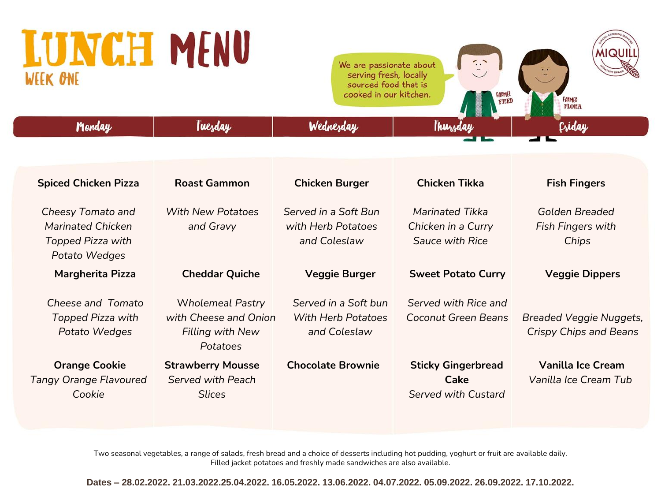## **LUNCH MENU** WEEK ONE

We are passionate about serving fresh, locally sourced food that is cooked in our kitchen.

**FARMER**<br>FRED

**MIQUI** 

**FARMER**<br>FLORA

| Monday                                                                                     | <b>IWEzday</b>                                                                          | wednezday                                                         | Thursday                                                               | Lrday                                                           |
|--------------------------------------------------------------------------------------------|-----------------------------------------------------------------------------------------|-------------------------------------------------------------------|------------------------------------------------------------------------|-----------------------------------------------------------------|
|                                                                                            |                                                                                         |                                                                   |                                                                        |                                                                 |
|                                                                                            |                                                                                         |                                                                   |                                                                        |                                                                 |
| <b>Spiced Chicken Pizza</b>                                                                | <b>Roast Gammon</b>                                                                     | <b>Chicken Burger</b>                                             | <b>Chicken Tikka</b>                                                   | <b>Fish Fingers</b>                                             |
| <b>Cheesy Tomato and</b><br><b>Marinated Chicken</b><br>Topped Pizza with<br>Potato Wedges | <b>With New Potatoes</b><br>and Gravy                                                   | Served in a Soft Bun<br>with Herb Potatoes<br>and Coleslaw        | <b>Marinated Tikka</b><br>Chicken in a Curry<br><b>Sauce with Rice</b> | Golden Breaded<br><b>Fish Fingers with</b><br>Chips             |
| <b>Margherita Pizza</b>                                                                    | <b>Cheddar Quiche</b>                                                                   | <b>Veggie Burger</b>                                              | <b>Sweet Potato Curry</b>                                              | <b>Veggie Dippers</b>                                           |
| Cheese and Tomato<br>Topped Pizza with<br>Potato Wedges                                    | <b>Wholemeal Pastry</b><br>with Cheese and Onion<br><b>Filling with New</b><br>Potatoes | Served in a Soft bun<br><b>With Herb Potatoes</b><br>and Coleslaw | Served with Rice and<br><b>Coconut Green Beans</b>                     | <b>Breaded Veggie Nuggets,</b><br><b>Crispy Chips and Beans</b> |
| <b>Orange Cookie</b><br>Tangy Orange Flavoured<br>Cookie                                   | <b>Strawberry Mousse</b><br><b>Served with Peach</b><br><b>Slices</b>                   | <b>Chocolate Brownie</b>                                          | <b>Sticky Gingerbread</b><br><b>Cake</b><br>Served with Custard        | <b>Vanilla Ice Cream</b><br>Vanilla Ice Cream Tub               |

Two seasonal vegetables, a range of salads, fresh bread and a choice of desserts including hot pudding, yoghurt or fruit are available daily. Filled jacket potatoes and freshly made sandwiches are also available.

**Dates – 28.02.2022. 21.03.2022.25.04.2022. 16.05.2022. 13.06.2022. 04.07.2022. 05.09.2022. 26.09.2022. 17.10.2022.**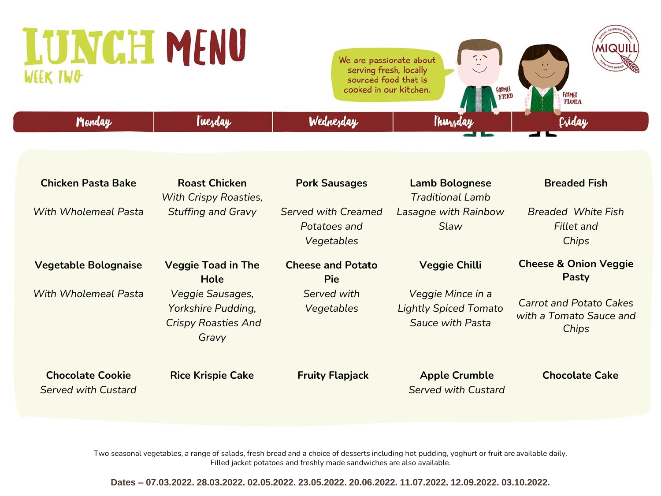## **LUNCH MENU** WEEK TWO

MIQL We are passionate about serving fresh, locally sourced food that is cooked in our kitchen. FARMER FRED **FLORA** 

Monday Criday Tuesday Wednesday Thursday **Chicken Pasta Bake Roast Chicken Pork Sausages Lamb Bolognese Breaded Fish** *With Crispy Roasties, Traditional Lamb Served with Creamed Lasagne with Rainbow Breaded White Fish With Wholemeal Pasta Stuffing and Gravy Potatoes and Slaw Fillet and Vegetables Chips* **Cheese & Onion Veggie Vegetable Bolognaise Veggie Toad in The Cheese and Potato Veggie Chilli Pasty Pie Hole**  *With Wholemeal Pasta Veggie Sausages, Served with Veggie Mince in a Carrot and Potato Cakes Yorkshire Pudding, Vegetables Lightly Spiced Tomato with a Tomato Sauce and Sauce with Pasta Crispy Roasties And Chips Gravy* **Chocolate Cookie Chocolate Cake Rice Krispie Cake Fruity Flapjack Apple Crumble** *Served with Custard Served with Custard* 

> Two seasonal vegetables, a range of salads, fresh bread and a choice of desserts including hot pudding, yoghurt or fruit are available daily. Filled jacket potatoes and freshly made sandwiches are also available.

**Dates – 07.03.2022. 28.03.2022. 02.05.2022. 23.05.2022. 20.06.2022. 11.07.2022. 12.09.2022. 03.10.2022.**